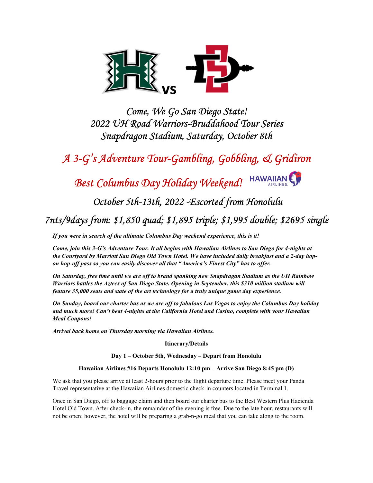

Come, We Go San Diego State! 2022 UH Road Warriors-Bruddahood Tour Series Snapdragon Stadium, Saturday, October 8th

A 3-G's Adventure Tour-Gambling, Gobbling, & Gridiron

# Best Columbus Day Holiday Weekend! HAWAIIAN

October 5th-13th, 2022 -Escorted from Honolulu

7nts/9days from: \$1,850 quad; \$1,895 triple; \$1,995 double; \$2695 single

If you were in search of the ultimate Columbus Day weekend experience, this is it!

Come, join this 3-G's Adventure Tour. It all begins with Hawaiian Airlines to San Diego for 4-nights at the Courtyard by Marriott San Diego Old Town Hotel. We have included daily breakfast and a 2-day hopon hop-off pass so you can easily discover all that "America's Finest City" has to offer.

On Saturday, free time until we are off to brand spanking new Snapdragan Stadium as the UH Rainbow Warriors battles the Aztecs of San Diego State. Opening in September, this \$310 million stadium will feature 35,000 seats and state of the art technology for a truly unique game day experience.

On Sunday, board our charter bus as we are off to fabulous Las Vegas to enjoy the Columbus Day holiday and much more! Can't beat 4-nights at the California Hotel and Casino, complete with your Hawaiian Meal Coupons!

Arrival back home on Thursday morning via Hawaiian Airlines.

Itinerary/Details

Day 1 – October 5th, Wednesday – Depart from Honolulu

### Hawaiian Airlines #16 Departs Honolulu 12:10 pm – Arrive San Diego 8:45 pm (D)

We ask that you please arrive at least 2-hours prior to the flight departure time. Please meet your Panda Travel representative at the Hawaiian Airlines domestic check-in counters located in Terminal 1.

Once in San Diego, off to baggage claim and then board our charter bus to the Best Western Plus Hacienda Hotel Old Town. After check-in, the remainder of the evening is free. Due to the late hour, restaurants will not be open; however, the hotel will be preparing a grab-n-go meal that you can take along to the room.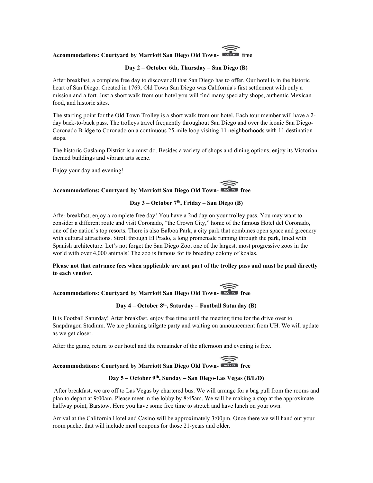## Accommodations: Courtyard by Marriott San Diego Old Town-

## Day 2 – October 6th, Thursday – San Diego (B)

After breakfast, a complete free day to discover all that San Diego has to offer. Our hotel is in the historic heart of San Diego. Created in 1769, Old Town San Diego was California's first settlement with only a mission and a fort. Just a short walk from our hotel you will find many specialty shops, authentic Mexican food, and historic sites.

The starting point for the Old Town Trolley is a short walk from our hotel. Each tour member will have a 2 day back-to-back pass. The trolleys travel frequently throughout San Diego and over the iconic San Diego-Coronado Bridge to Coronado on a continuous 25-mile loop visiting 11 neighborhoods with 11 destination stops.

The historic Gaslamp District is a must do. Besides a variety of shops and dining options, enjoy its Victorianthemed buildings and vibrant arts scene.

Enjoy your day and evening!

# Accommodations: Courtyard by Marriott San Diego Old Town-

## Day  $3 - October 7<sup>th</sup>$ , Friday – San Diego (B)

After breakfast, enjoy a complete free day! You have a 2nd day on your trolley pass. You may want to consider a different route and visit Coronado, "the Crown City," home of the famous Hotel del Coronado, one of the nation's top resorts. There is also Balboa Park, a city park that combines open space and greenery with cultural attractions. Stroll through El Prado, a long promenade running through the park, lined with Spanish architecture. Let's not forget the San Diego Zoo, one of the largest, most progressive zoos in the world with over 4,000 animals! The zoo is famous for its breeding colony of koalas.

## Please not that entrance fees when applicable are not part of the trolley pass and must be paid directly to each vendor.

# Accommodations: Courtyard by Marriott San Diego Old Town-

## Day  $4 -$  October  $8<sup>th</sup>$ , Saturday – Football Saturday (B)

It is Football Saturday! After breakfast, enjoy free time until the meeting time for the drive over to Snapdragon Stadium. We are planning tailgate party and waiting on announcement from UH. We will update as we get closer.

After the game, return to our hotel and the remainder of the afternoon and evening is free.

## Accommodations: Courtyard by Marriott San Diego Old Town-

## Day 5 – October 9th, Sunday – San Diego-Las Vegas (B/L/D)

After breakfast, we are off to Las Vegas by chartered bus. We will arrange for a bag pull from the rooms and plan to depart at 9:00am. Please meet in the lobby by 8:45am. We will be making a stop at the approximate halfway point, Barstow. Here you have some free time to stretch and have lunch on your own.

Arrival at the California Hotel and Casino will be approximately 3:00pm. Once there we will hand out your room packet that will include meal coupons for those 21-years and older.